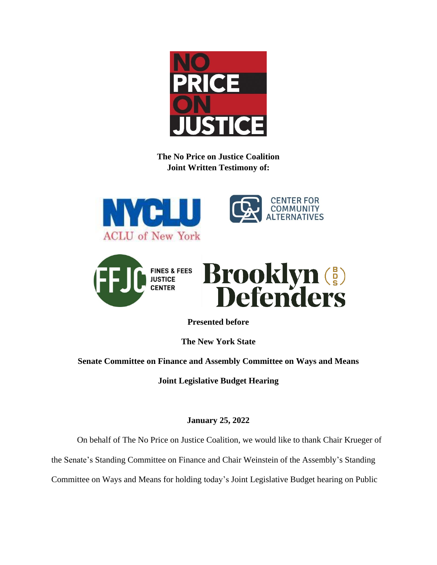

**The No Price on Justice Coalition Joint Written Testimony of:**







**Presented before**

**The New York State**

**Senate Committee on Finance and Assembly Committee on Ways and Means**

**Joint Legislative Budget Hearing**

**January 25, 2022**

On behalf of The No Price on Justice Coalition, we would like to thank Chair Krueger of

the Senate's Standing Committee on Finance and Chair Weinstein of the Assembly's Standing

Committee on Ways and Means for holding today's Joint Legislative Budget hearing on Public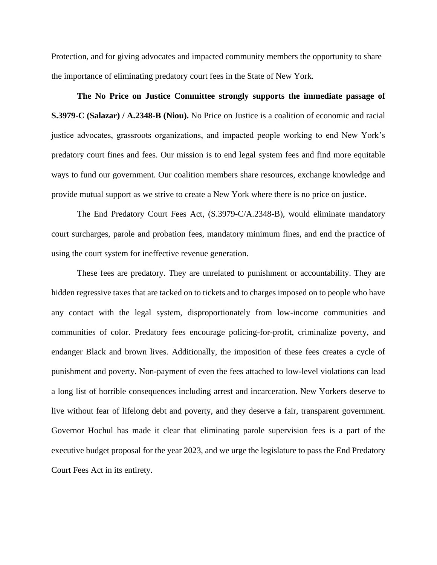Protection, and for giving advocates and impacted community members the opportunity to share the importance of eliminating predatory court fees in the State of New York.

**The No Price on Justice Committee strongly supports the immediate passage of S.3979-C (Salazar) / A.2348-B (Niou).** No Price on Justice is a coalition of economic and racial justice advocates, grassroots organizations, and impacted people working to end New York's predatory court fines and fees. Our mission is to end legal system fees and find more equitable ways to fund our government. Our coalition members share resources, exchange knowledge and provide mutual support as we strive to create a New York where there is no price on justice.

The End Predatory Court Fees Act, (S.3979-C/A.2348-B), would eliminate mandatory court surcharges, parole and probation fees, mandatory minimum fines, and end the practice of using the court system for ineffective revenue generation.

These fees are predatory. They are unrelated to punishment or accountability. They are hidden regressive taxes that are tacked on to tickets and to charges imposed on to people who have any contact with the legal system, disproportionately from low-income communities and communities of color. Predatory fees encourage policing-for-profit, criminalize poverty, and endanger Black and brown lives. Additionally, the imposition of these fees creates a cycle of punishment and poverty. Non-payment of even the fees attached to low-level violations can lead a long list of horrible consequences including arrest and incarceration. New Yorkers deserve to live without fear of lifelong debt and poverty, and they deserve a fair, transparent government. Governor Hochul has made it clear that eliminating parole supervision fees is a part of the executive budget proposal for the year 2023, and we urge the legislature to pass the End Predatory Court Fees Act in its entirety.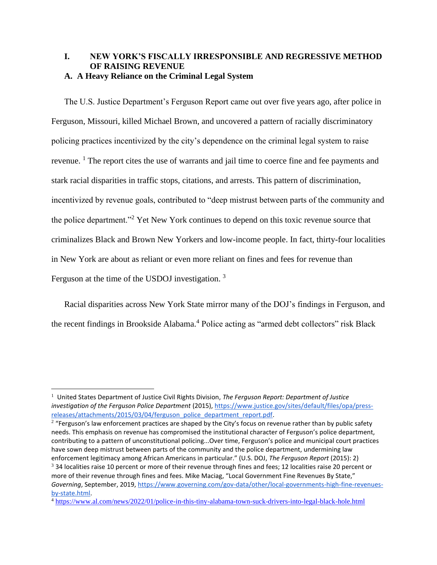# **I. NEW YORK'S FISCALLY IRRESPONSIBLE AND REGRESSIVE METHOD OF RAISING REVENUE A. A Heavy Reliance on the Criminal Legal System**

The U.S. Justice Department's Ferguson Report came out over five years ago, after police in Ferguson, Missouri, killed Michael Brown, and uncovered a pattern of racially discriminatory policing practices incentivized by the city's dependence on the criminal legal system to raise revenue. <sup>1</sup> The report cites the use of warrants and jail time to coerce fine and fee payments and stark racial disparities in traffic stops, citations, and arrests. This pattern of discrimination, incentivized by revenue goals, contributed to "deep mistrust between parts of the community and the police department."<sup>2</sup> Yet New York continues to depend on this toxic revenue source that criminalizes Black and Brown New Yorkers and low-income people. In fact, thirty-four localities in New York are about as reliant or even more reliant on fines and fees for revenue than Ferguson at the time of the USDOJ investigation.<sup>3</sup>

Racial disparities across New York State mirror many of the DOJ's findings in Ferguson, and the recent findings in Brookside Alabama.<sup>4</sup> Police acting as "armed debt collectors" risk Black

<sup>1</sup> United States Department of Justice Civil Rights Division, *The Ferguson Report: Department of Justice investigation of the Ferguson Police Department* (2015)[, https://www.justice.gov/sites/default/files/opa/press](https://www.justice.gov/sites/default/files/opa/press-releases/attachments/2015/03/04/ferguson_police_department_report.pdf)[releases/attachments/2015/03/04/ferguson\\_police\\_department\\_report.pdf.](https://www.justice.gov/sites/default/files/opa/press-releases/attachments/2015/03/04/ferguson_police_department_report.pdf)

<sup>&</sup>lt;sup>2</sup> "Ferguson's law enforcement practices are shaped by the City's focus on revenue rather than by public safety needs. This emphasis on revenue has compromised the institutional character of Ferguson's police department, contributing to a pattern of unconstitutional policing...Over time, Ferguson's police and municipal court practices have sown deep mistrust between parts of the community and the police department, undermining law enforcement legitimacy among African Americans in particular." (U.S. DOJ, *The Ferguson Report* (2015): 2)

 $3$  34 localities raise 10 percent or more of their revenue through fines and fees; 12 localities raise 20 percent or more of their revenue through fines and fees. Mike Maciag, "Local Government Fine Revenues By State," *Governing*, September, 2019, [https://www.governing.com/gov-data/other/local-governments-high-fine-revenues](https://www.governing.com/gov-data/other/local-governments-high-fine-revenues-by-state.html)[by-state.html.](https://www.governing.com/gov-data/other/local-governments-high-fine-revenues-by-state.html)

<sup>4</sup> <https://www.al.com/news/2022/01/police-in-this-tiny-alabama-town-suck-drivers-into-legal-black-hole.html>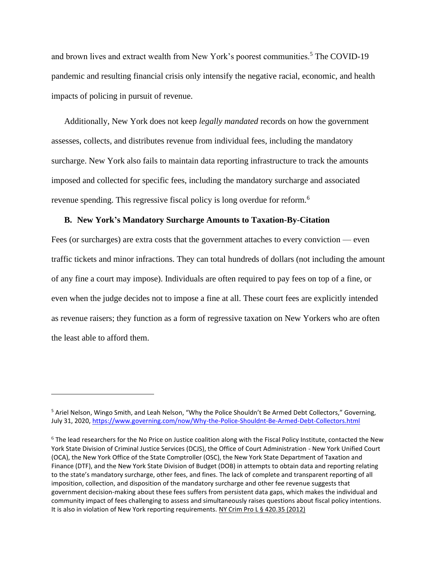and brown lives and extract wealth from New York's poorest communities.<sup>5</sup> The COVID-19 pandemic and resulting financial crisis only intensify the negative racial, economic, and health impacts of policing in pursuit of revenue.

Additionally, New York does not keep *legally mandated* records on how the government assesses, collects, and distributes revenue from individual fees, including the mandatory surcharge. New York also fails to maintain data reporting infrastructure to track the amounts imposed and collected for specific fees, including the mandatory surcharge and associated revenue spending. This regressive fiscal policy is long overdue for reform.<sup>6</sup>

# **B. New York's Mandatory Surcharge Amounts to Taxation-By-Citation**

Fees (or surcharges) are extra costs that the government attaches to every conviction — even traffic tickets and minor infractions. They can total hundreds of dollars (not including the amount of any fine a court may impose). Individuals are often required to pay fees on top of a fine, or even when the judge decides not to impose a fine at all. These court fees are explicitly intended as revenue raisers; they function as a form of regressive taxation on New Yorkers who are often the least able to afford them.

<sup>5</sup> Ariel Nelson, Wingo Smith, and Leah Nelson, "Why the Police Shouldn't Be Armed Debt Collectors," Governing, July 31, 2020[, https://www.governing.com/now/Why-the-Police-Shouldnt-Be-Armed-Debt-Collectors.html](https://www.governing.com/now/Why-the-Police-Shouldnt-Be-Armed-Debt-Collectors.html)

 $6$  The lead researchers for the No Price on Justice coalition along with the Fiscal Policy Institute, contacted the New York State Division of Criminal Justice Services (DCJS), the Office of Court Administration - New York Unified Court (OCA), the New York Office of the State Comptroller (OSC), the New York State Department of Taxation and Finance (DTF), and the New York State Division of Budget (DOB) in attempts to obtain data and reporting relating to the state's mandatory surcharge, other fees, and fines. The lack of complete and transparent reporting of all imposition, collection, and disposition of the mandatory surcharge and other fee revenue suggests that government decision-making about these fees suffers from persistent data gaps, which makes the individual and community impact of fees challenging to assess and simultaneously raises questions about fiscal policy intentions. It is also in violation of New York reporting requirements[. NY Crim Pro L § 420.35 \(2012\)](https://law.justia.com/citations.html)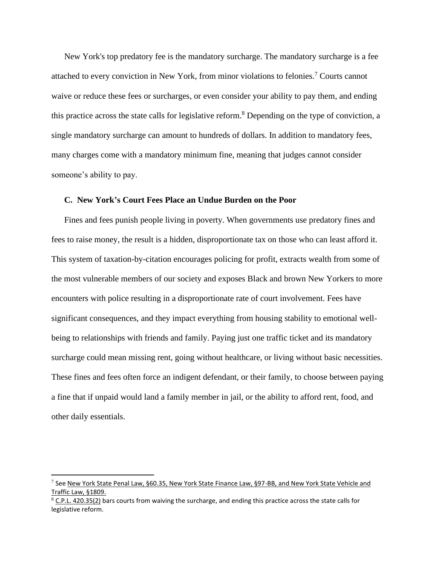New York's top predatory fee is the mandatory surcharge. The mandatory surcharge is a fee attached to every conviction in New York, from minor violations to felonies.<sup>7</sup> Courts cannot waive or reduce these fees or surcharges, or even consider your ability to pay them, and ending this practice across the state calls for legislative reform.<sup>8</sup> Depending on the type of conviction, a single mandatory surcharge can amount to hundreds of dollars. In addition to mandatory fees, many charges come with a mandatory minimum fine, meaning that judges cannot consider someone's ability to pay.

## **C. New York's Court Fees Place an Undue Burden on the Poor**

Fines and fees punish people living in poverty. When governments use predatory fines and fees to raise money, the result is a hidden, disproportionate tax on those who can least afford it. This system of taxation-by-citation encourages policing for profit, extracts wealth from some of the most vulnerable members of our society and exposes Black and brown New Yorkers to more encounters with police resulting in a disproportionate rate of court involvement. Fees have significant consequences, and they impact everything from housing stability to emotional wellbeing to relationships with friends and family. Paying just one traffic ticket and its mandatory surcharge could mean missing rent, going without healthcare, or living without basic necessities. These fines and fees often force an indigent defendant, or their family, to choose between paying a fine that if unpaid would land a family member in jail, or the ability to afford rent, food, and other daily essentials.

<sup>&</sup>lt;sup>7</sup> See <u>New York State Penal Law, §60.35, New York State Finance Law, §97-BB, and New York State Vehicle and</u> Traffic Law, §1809.

 $8$  C.P.L. 420.35(2) bars courts from waiving the surcharge, and ending this practice across the state calls for legislative reform.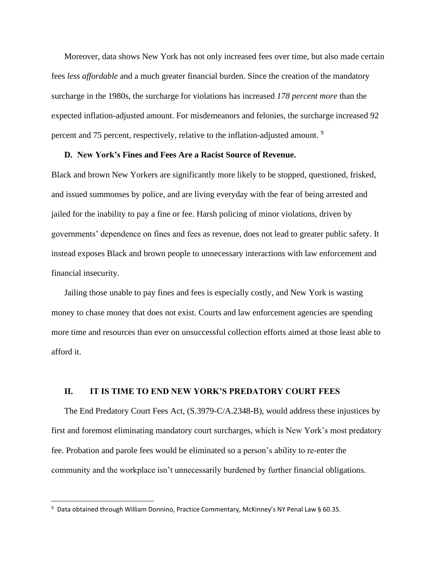Moreover, data shows New York has not only increased fees over time, but also made certain fees *less affordable* and a much greater financial burden. Since the creation of the mandatory surcharge in the 1980s, the surcharge for violations has increased *178 percent more* than the expected inflation-adjusted amount. For misdemeanors and felonies, the surcharge increased 92 percent and 75 percent, respectively, relative to the inflation-adjusted amount. <sup>9</sup>

### **D. New York's Fines and Fees Are a Racist Source of Revenue.**

Black and brown New Yorkers are significantly more likely to be stopped, questioned, frisked, and issued summonses by police, and are living everyday with the fear of being arrested and jailed for the inability to pay a fine or fee. Harsh policing of minor violations, driven by governments' dependence on fines and fees as revenue, does not lead to greater public safety. It instead exposes Black and brown people to unnecessary interactions with law enforcement and financial insecurity.

Jailing those unable to pay fines and fees is especially costly, and New York is wasting money to chase money that does not exist. Courts and law enforcement agencies are spending more time and resources than ever on unsuccessful collection efforts aimed at those least able to afford it.

### **II. IT IS TIME TO END NEW YORK'S PREDATORY COURT FEES**

The End Predatory Court Fees Act, (S.3979-C/A.2348-B), would address these injustices by first and foremost eliminating mandatory court surcharges, which is New York's most predatory fee. Probation and parole fees would be eliminated so a person's ability to re-enter the community and the workplace isn't unnecessarily burdened by further financial obligations.

<sup>9</sup> Data obtained through William Donnino, Practice Commentary, McKinney's NY Penal Law § 60.35.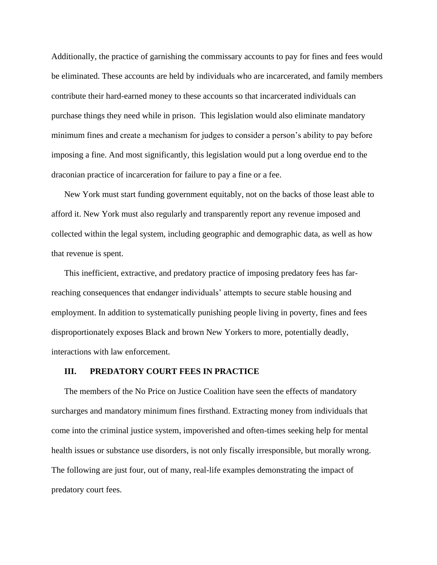Additionally, the practice of garnishing the commissary accounts to pay for fines and fees would be eliminated. These accounts are held by individuals who are incarcerated, and family members contribute their hard-earned money to these accounts so that incarcerated individuals can purchase things they need while in prison. This legislation would also eliminate mandatory minimum fines and create a mechanism for judges to consider a person's ability to pay before imposing a fine. And most significantly, this legislation would put a long overdue end to the draconian practice of incarceration for failure to pay a fine or a fee.

New York must start funding government equitably, not on the backs of those least able to afford it. New York must also regularly and transparently report any revenue imposed and collected within the legal system, including geographic and demographic data, as well as how that revenue is spent.

This inefficient, extractive, and predatory practice of imposing predatory fees has farreaching consequences that endanger individuals' attempts to secure stable housing and employment. In addition to systematically punishing people living in poverty, fines and fees disproportionately exposes Black and brown New Yorkers to more, potentially deadly, interactions with law enforcement.

#### **III. PREDATORY COURT FEES IN PRACTICE**

The members of the No Price on Justice Coalition have seen the effects of mandatory surcharges and mandatory minimum fines firsthand. Extracting money from individuals that come into the criminal justice system, impoverished and often-times seeking help for mental health issues or substance use disorders, is not only fiscally irresponsible, but morally wrong. The following are just four, out of many, real-life examples demonstrating the impact of predatory court fees.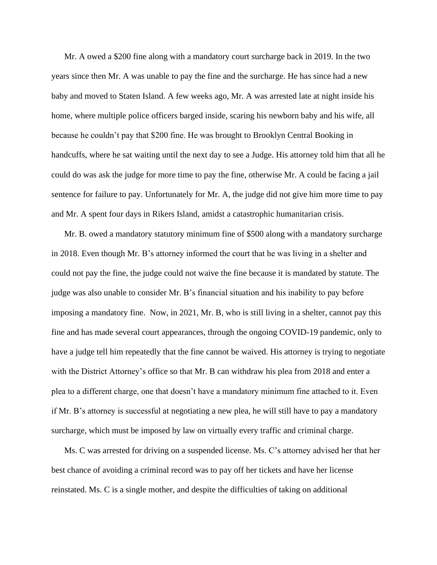Mr. A owed a \$200 fine along with a mandatory court surcharge back in 2019. In the two years since then Mr. A was unable to pay the fine and the surcharge. He has since had a new baby and moved to Staten Island. A few weeks ago, Mr. A was arrested late at night inside his home, where multiple police officers barged inside, scaring his newborn baby and his wife, all because he couldn't pay that \$200 fine. He was brought to Brooklyn Central Booking in handcuffs, where he sat waiting until the next day to see a Judge. His attorney told him that all he could do was ask the judge for more time to pay the fine, otherwise Mr. A could be facing a jail sentence for failure to pay. Unfortunately for Mr. A, the judge did not give him more time to pay and Mr. A spent four days in Rikers Island, amidst a catastrophic humanitarian crisis.

Mr. B. owed a mandatory statutory minimum fine of \$500 along with a mandatory surcharge in 2018. Even though Mr. B's attorney informed the court that he was living in a shelter and could not pay the fine, the judge could not waive the fine because it is mandated by statute. The judge was also unable to consider Mr. B's financial situation and his inability to pay before imposing a mandatory fine. Now, in 2021, Mr. B, who is still living in a shelter, cannot pay this fine and has made several court appearances, through the ongoing COVID-19 pandemic, only to have a judge tell him repeatedly that the fine cannot be waived. His attorney is trying to negotiate with the District Attorney's office so that Mr. B can withdraw his plea from 2018 and enter a plea to a different charge, one that doesn't have a mandatory minimum fine attached to it. Even if Mr. B's attorney is successful at negotiating a new plea, he will still have to pay a mandatory surcharge, which must be imposed by law on virtually every traffic and criminal charge.

Ms. C was arrested for driving on a suspended license. Ms. C's attorney advised her that her best chance of avoiding a criminal record was to pay off her tickets and have her license reinstated. Ms. C is a single mother, and despite the difficulties of taking on additional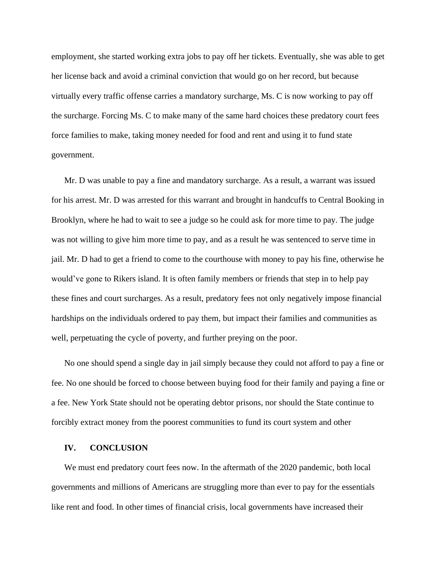employment, she started working extra jobs to pay off her tickets. Eventually, she was able to get her license back and avoid a criminal conviction that would go on her record, but because virtually every traffic offense carries a mandatory surcharge, Ms. C is now working to pay off the surcharge. Forcing Ms. C to make many of the same hard choices these predatory court fees force families to make, taking money needed for food and rent and using it to fund state government.

Mr. D was unable to pay a fine and mandatory surcharge. As a result, a warrant was issued for his arrest. Mr. D was arrested for this warrant and brought in handcuffs to Central Booking in Brooklyn, where he had to wait to see a judge so he could ask for more time to pay. The judge was not willing to give him more time to pay, and as a result he was sentenced to serve time in jail. Mr. D had to get a friend to come to the courthouse with money to pay his fine, otherwise he would've gone to Rikers island. It is often family members or friends that step in to help pay these fines and court surcharges. As a result, predatory fees not only negatively impose financial hardships on the individuals ordered to pay them, but impact their families and communities as well, perpetuating the cycle of poverty, and further preying on the poor.

No one should spend a single day in jail simply because they could not afford to pay a fine or fee. No one should be forced to choose between buying food for their family and paying a fine or a fee. New York State should not be operating debtor prisons, nor should the State continue to forcibly extract money from the poorest communities to fund its court system and other

### **IV. CONCLUSION**

We must end predatory court fees now. In the aftermath of the 2020 pandemic, both local governments and millions of Americans are struggling more than ever to pay for the essentials like rent and food. In other times of financial crisis, local governments have increased their